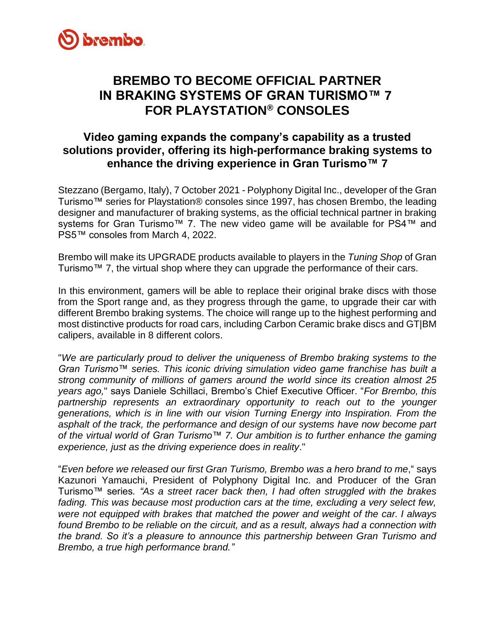

## **BREMBO TO BECOME OFFICIAL PARTNER IN BRAKING SYSTEMS OF GRAN TURISMO™ 7 FOR PLAYSTATION® CONSOLES**

### **Video gaming expands the company's capability as a trusted solutions provider, offering its high-performance braking systems to enhance the driving experience in Gran Turismo™ 7**

Stezzano (Bergamo, Italy), 7 October 2021 - Polyphony Digital Inc., developer of the Gran Turismo™ series for Playstation® consoles since 1997, has chosen Brembo, the leading designer and manufacturer of braking systems, as the official technical partner in braking systems for Gran Turismo™ 7. The new video game will be available for PS4™ and PS5™ consoles from March 4, 2022.

Brembo will make its UPGRADE products available to players in the *Tuning Shop* of Gran Turismo™ 7, the virtual shop where they can upgrade the performance of their cars.

In this environment, gamers will be able to replace their original brake discs with those from the Sport range and, as they progress through the game, to upgrade their car with different Brembo braking systems. The choice will range up to the highest performing and most distinctive products for road cars, including Carbon Ceramic brake discs and GT|BM calipers, available in 8 different colors.

"*We are particularly proud to deliver the uniqueness of Brembo braking systems to the Gran Turismo™ series. This iconic driving simulation video game franchise has built a strong community of millions of gamers around the world since its creation almost 25 years ago,*" says Daniele Schillaci, Brembo's Chief Executive Officer. "*For Brembo, this partnership represents an extraordinary opportunity to reach out to the younger generations, which is in line with our vision Turning Energy into Inspiration. From the asphalt of the track, the performance and design of our systems have now become part of the virtual world of Gran Turismo™ 7. Our ambition is to further enhance the gaming experience, just as the driving experience does in reality*."

"*Even before we released our first Gran Turismo, Brembo was a hero brand to me*," says Kazunori Yamauchi, President of Polyphony Digital Inc. and Producer of the Gran Turismo™ series*. "As a street racer back then, I had often struggled with the brakes fading. This was because most production cars at the time, excluding a very select few, were not equipped with brakes that matched the power and weight of the car. I always found Brembo to be reliable on the circuit, and as a result, always had a connection with the brand. So it's a pleasure to announce this partnership between Gran Turismo and Brembo, a true high performance brand."*